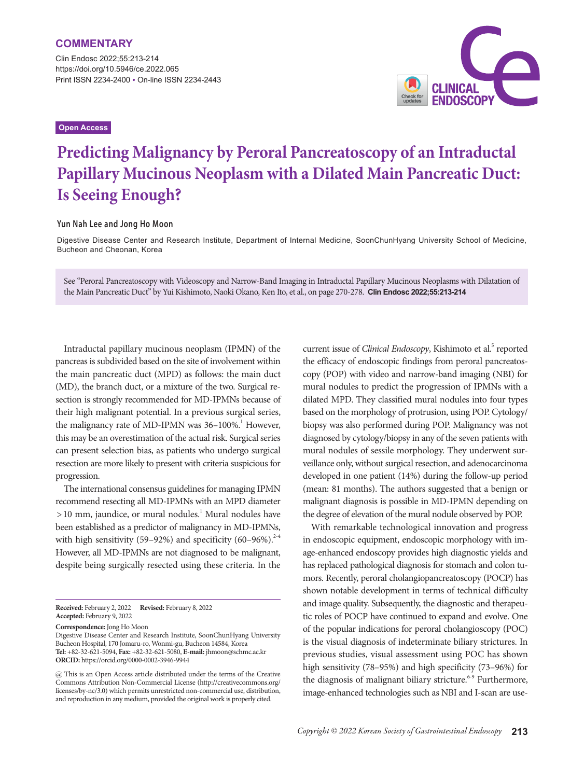Clin Endosc 2022;55:213-214 https://doi.org/10.5946/ce.2022.065 Print ISSN 2234-2400 • On-line ISSN 2234-2443

## **Open Access**



# **Predicting Malignancy by Peroral Pancreatoscopy of an Intraductal Papillary Mucinous Neoplasm with a Dilated Main Pancreatic Duct: Is Seeing Enough?**

### **Yun Nah Lee and Jong Ho Moon**

Digestive Disease Center and Research Institute, Department of Internal Medicine, SoonChunHyang University School of Medicine, Bucheon and Cheonan, Korea

See "Peroral Pancreatoscopy with Videoscopy and Narrow-Band Imaging in Intraductal Papillary Mucinous Neoplasms with Dilatation of the Main Pancreatic Duct" by Yui Kishimoto, Naoki Okano, Ken Ito, et al., on page 270-278. **Clin Endosc 2022;55:213-214**

Intraductal papillary mucinous neoplasm (IPMN) of the pancreas is subdivided based on the site of involvement within the main pancreatic duct (MPD) as follows: the main duct (MD), the branch duct, or a mixture of the two. Surgical resection is strongly recommended for MD-IPMNs because of their high malignant potential. In a previous surgical series, the malignancy rate of MD-IPMN was  $36-100\%$ .<sup>1</sup> However, this may be an overestimation of the actual risk. Surgical series can present selection bias, as patients who undergo surgical resection are more likely to present with criteria suspicious for progression.

The international consensus guidelines for managing IPMN recommend resecting all MD-IPMNs with an MPD diameter >10 mm, jaundice, or mural nodules.<sup>1</sup> Mural nodules have been established as a predictor of malignancy in MD-IPMNs, with high sensitivity (59–92%) and specificity (60–96%).<sup>2-4</sup> However, all MD-IPMNs are not diagnosed to be malignant, despite being surgically resected using these criteria. In the

**Received:** February 2, 2022 **Revised:** February 8, 2022 **Accepted:** February 9, 2022

**Correspondence:** Jong Ho Moon

Digestive Disease Center and Research Institute, SoonChunHyang University Bucheon Hospital, 170 Jomaru-ro, Wonmi-gu, Bucheon 14584, Korea **Tel:** +82-32-621-5094, **Fax:** +82-32-621-5080, **E-mail:** jhmoon@schmc.ac.kr **ORCID:** https://orcid.org/0000-0002-3946-9944

 This is an Open Access article distributed under the terms of the Creative Commons Attribution Non-Commercial License (http://creativecommons.org/ licenses/by-nc/3.0) which permits unrestricted non-commercial use, distribution, and reproduction in any medium, provided the original work is properly cited.

current issue of *Clinical Endoscopy*, Kishimoto et al.<sup>5</sup> reported the efficacy of endoscopic findings from peroral pancreatoscopy (POP) with video and narrow-band imaging (NBI) for mural nodules to predict the progression of IPMNs with a dilated MPD. They classified mural nodules into four types based on the morphology of protrusion, using POP. Cytology/ biopsy was also performed during POP. Malignancy was not diagnosed by cytology/biopsy in any of the seven patients with mural nodules of sessile morphology. They underwent surveillance only, without surgical resection, and adenocarcinoma developed in one patient (14%) during the follow-up period (mean: 81 months). The authors suggested that a benign or malignant diagnosis is possible in MD-IPMN depending on the degree of elevation of the mural nodule observed by POP.

With remarkable technological innovation and progress in endoscopic equipment, endoscopic morphology with image-enhanced endoscopy provides high diagnostic yields and has replaced pathological diagnosis for stomach and colon tumors. Recently, peroral cholangiopancreatoscopy (POCP) has shown notable development in terms of technical difficulty and image quality. Subsequently, the diagnostic and therapeutic roles of POCP have continued to expand and evolve. One of the popular indications for peroral cholangioscopy (POC) is the visual diagnosis of indeterminate biliary strictures. In previous studies, visual assessment using POC has shown high sensitivity (78–95%) and high specificity (73–96%) for the diagnosis of malignant biliary stricture.<sup> $6-9$ </sup> Furthermore, image-enhanced technologies such as NBI and I-scan are use-